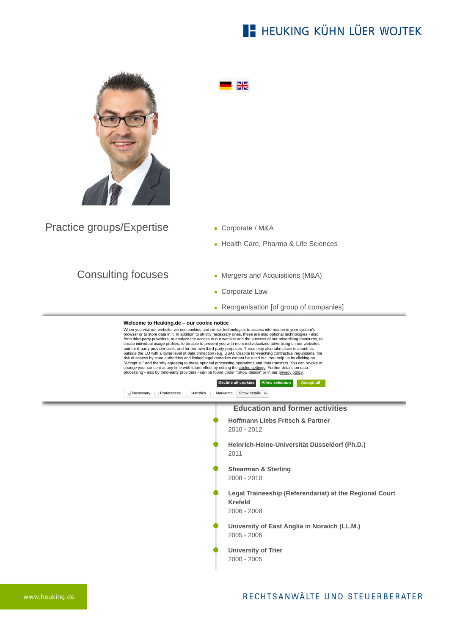## **E- HEUKING KÜHN LÜER WOJTEK**